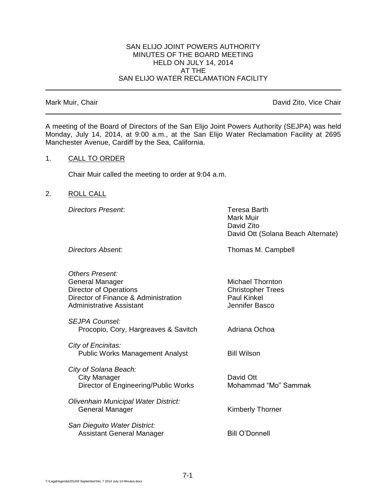## SAN ELIJO JOINT POWERS AUTHORITY MINUTES OF THE BOARD MEETING HELD ON JULY 14, 2014 AT THE SAN ELIJO WATER RECLAMATION FACILITY

Mark Muir, Chair **David Zito, Vice Chair** David Zito, Vice Chair

A meeting of the Board of Directors of the San Elijo Joint Powers Authority (SEJPA) was held Monday, July 14, 2014, at 9:00 a.m., at the San Elijo Water Reclamation Facility at 2695 Manchester Avenue, Cardiff by the Sea, California.

### 1. CALL TO ORDER

Chair Muir called the meeting to order at 9:04 a.m.

## 2. ROLL CALL

*Directors Present*: Teresa Barth

Mark Muir David Zito David Ott (Solana Beach Alternate)

**Directors Absent:** Thomas M. Campbell

| Others Present:<br>General Manager<br><b>Director of Operations</b><br>Director of Finance & Administration<br>Administrative Assistant | <b>Michael Thornton</b><br><b>Christopher Trees</b><br><b>Paul Kinkel</b><br>Jennifer Basco |
|-----------------------------------------------------------------------------------------------------------------------------------------|---------------------------------------------------------------------------------------------|
| SEJPA Counsel:<br>Procopio, Cory, Hargreaves & Savitch                                                                                  | Adriana Ochoa                                                                               |
| City of Encinitas:<br><b>Public Works Management Analyst</b>                                                                            | <b>Bill Wilson</b>                                                                          |
| City of Solana Beach:<br>City Manager<br>Director of Engineering/Public Works                                                           | David Ott<br>Mohammad "Mo" Sammak                                                           |
| Olivenhain Municipal Water District:<br>General Manager                                                                                 | <b>Kimberly Thorner</b>                                                                     |
| San Dieguito Water District:<br>Assistant General Manager                                                                               | Bill O'Donnell                                                                              |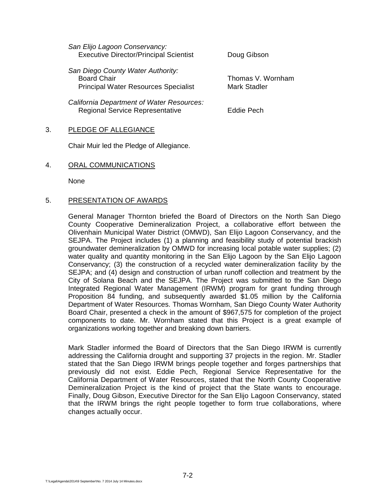| San Elijo Lagoon Conservancy:<br><b>Executive Director/Principal Scientist</b>                         | Doug Gibson                              |  |
|--------------------------------------------------------------------------------------------------------|------------------------------------------|--|
| San Diego County Water Authority:<br><b>Board Chair</b><br><b>Principal Water Resources Specialist</b> | Thomas V. Wornham<br><b>Mark Stadler</b> |  |
| California Department of Water Resources:<br><b>Regional Service Representative</b>                    | Eddie Pech                               |  |

## 3. PLEDGE OF ALLEGIANCE

Chair Muir led the Pledge of Allegiance.

### 4. ORAL COMMUNICATIONS

None

## 5. PRESENTATION OF AWARDS

General Manager Thornton briefed the Board of Directors on the North San Diego County Cooperative Demineralization Project, a collaborative effort between the Olivenhain Municipal Water District (OMWD), San Elijo Lagoon Conservancy, and the SEJPA. The Project includes (1) a planning and feasibility study of potential brackish groundwater demineralization by OMWD for increasing local potable water supplies; (2) water quality and quantity monitoring in the San Elijo Lagoon by the San Elijo Lagoon Conservancy; (3) the construction of a recycled water demineralization facility by the SEJPA; and (4) design and construction of urban runoff collection and treatment by the City of Solana Beach and the SEJPA. The Project was submitted to the San Diego Integrated Regional Water Management (IRWM) program for grant funding through Proposition 84 funding, and subsequently awarded \$1.05 million by the California Department of Water Resources. Thomas Wornham, San Diego County Water Authority Board Chair, presented a check in the amount of \$967,575 for completion of the project components to date. Mr. Wornham stated that this Project is a great example of organizations working together and breaking down barriers.

Mark Stadler informed the Board of Directors that the San Diego IRWM is currently addressing the California drought and supporting 37 projects in the region. Mr. Stadler stated that the San Diego IRWM brings people together and forges partnerships that previously did not exist. Eddie Pech, Regional Service Representative for the California Department of Water Resources, stated that the North County Cooperative Demineralization Project is the kind of project that the State wants to encourage. Finally, Doug Gibson, Executive Director for the San Elijo Lagoon Conservancy, stated that the IRWM brings the right people together to form true collaborations, where changes actually occur.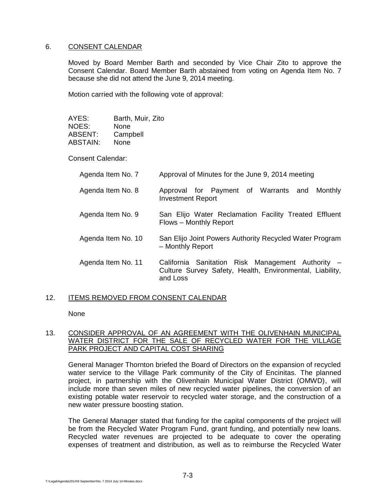## 6. CONSENT CALENDAR

Moved by Board Member Barth and seconded by Vice Chair Zito to approve the Consent Calendar. Board Member Barth abstained from voting on Agenda Item No. 7 because she did not attend the June 9, 2014 meeting.

Motion carried with the following vote of approval:

| AYES:    | Barth, Muir, Zito |
|----------|-------------------|
| NOES:    | None              |
| ABSENT:  | Campbell          |
| ABSTAIN: | None              |

Consent Calendar:

| Agenda Item No. 7  | Approval of Minutes for the June 9, 2014 meeting                                                                          |
|--------------------|---------------------------------------------------------------------------------------------------------------------------|
| Agenda Item No. 8  | Approval for Payment of Warrants and<br>Monthly<br><b>Investment Report</b>                                               |
| Agenda Item No. 9  | San Elijo Water Reclamation Facility Treated Effluent<br>Flows – Monthly Report                                           |
| Agenda Item No. 10 | San Elijo Joint Powers Authority Recycled Water Program<br>- Monthly Report                                               |
| Agenda Item No. 11 | California Sanitation Risk Management Authority -<br>Culture Survey Safety, Health, Environmental, Liability,<br>and Loss |

# 12. ITEMS REMOVED FROM CONSENT CALENDAR

None

## 13. CONSIDER APPROVAL OF AN AGREEMENT WITH THE OLIVENHAIN MUNICIPAL WATER DISTRICT FOR THE SALE OF RECYCLED WATER FOR THE VILLAGE PARK PROJECT AND CAPITAL COST SHARING

General Manager Thornton briefed the Board of Directors on the expansion of recycled water service to the Village Park community of the City of Encinitas. The planned project, in partnership with the Olivenhain Municipal Water District (OMWD), will include more than seven miles of new recycled water pipelines, the conversion of an existing potable water reservoir to recycled water storage, and the construction of a new water pressure boosting station.

The General Manager stated that funding for the capital components of the project will be from the Recycled Water Program Fund, grant funding, and potentially new loans. Recycled water revenues are projected to be adequate to cover the operating expenses of treatment and distribution, as well as to reimburse the Recycled Water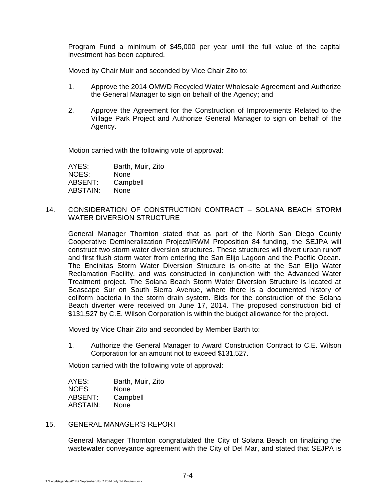Program Fund a minimum of \$45,000 per year until the full value of the capital investment has been captured.

Moved by Chair Muir and seconded by Vice Chair Zito to:

- 1. Approve the 2014 OMWD Recycled Water Wholesale Agreement and Authorize the General Manager to sign on behalf of the Agency; and
- 2. Approve the Agreement for the Construction of Improvements Related to the Village Park Project and Authorize General Manager to sign on behalf of the Agency.

Motion carried with the following vote of approval:

AYES: Barth, Muir, Zito NOES: None ABSENT: Campbell ABSTAIN: None

### 14. CONSIDERATION OF CONSTRUCTION CONTRACT – SOLANA BEACH STORM WATER DIVERSION STRUCTURE

General Manager Thornton stated that as part of the North San Diego County Cooperative Demineralization Project/IRWM Proposition 84 funding, the SEJPA will construct two storm water diversion structures. These structures will divert urban runoff and first flush storm water from entering the San Elijo Lagoon and the Pacific Ocean. The Encinitas Storm Water Diversion Structure is on-site at the San Elijo Water Reclamation Facility, and was constructed in conjunction with the Advanced Water Treatment project. The Solana Beach Storm Water Diversion Structure is located at Seascape Sur on South Sierra Avenue, where there is a documented history of coliform bacteria in the storm drain system. Bids for the construction of the Solana Beach diverter were received on June 17, 2014. The proposed construction bid of \$131,527 by C.E. Wilson Corporation is within the budget allowance for the project.

Moved by Vice Chair Zito and seconded by Member Barth to:

1. Authorize the General Manager to Award Construction Contract to C.E. Wilson Corporation for an amount not to exceed \$131,527.

Motion carried with the following vote of approval:

| AYES:    | Barth, Muir, Zito |
|----------|-------------------|
| NOES:    | None              |
| ABSENT:  | Campbell          |
| ABSTAIN: | None              |

## 15. GENERAL MANAGER'S REPORT

General Manager Thornton congratulated the City of Solana Beach on finalizing the wastewater conveyance agreement with the City of Del Mar, and stated that SEJPA is